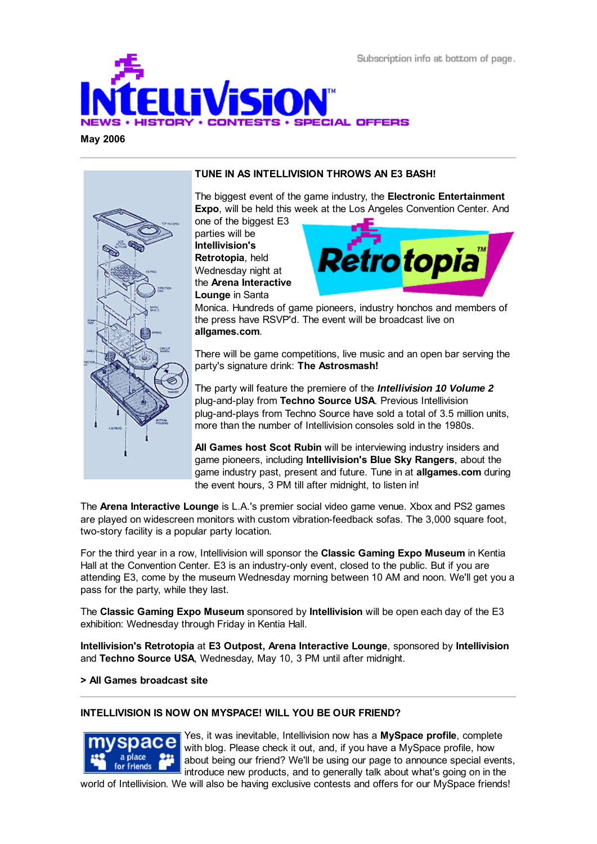

**May 2006**



## **TUNE IN AS INTELLIVISION THROWS AN E3 BASH!**

The biggest event of the game industry, the **Electronic Entertainment Expo**, will be held this week at the Los Angeles Convention Center. And

one of the biggest E3 parties will be **Intellivision's Retrotopia**, held Wednesday night at the **Arena Interactive Lounge** in Santa



Monica. Hundreds of game pioneers, industry honchos and members of the press have RSVP'd. The event will be broadcast live on **allgames.com**.

There will be game competitions, live music and an open bar serving the party's signature drink: **The Astrosmash!**

The party will feature the premiere of the *Intellivision 10 Volume 2* plug-and-play from **Techno Source USA**. Previous Intellivision plug-and-plays from Techno Source have sold a total of 3.5 million units, more than the number of Intellivision consoles sold in the 1980s.

**All Games host Scot Rubin** will be interviewing industry insiders and game pioneers, including **Intellivision's Blue Sky Rangers**, about the game industry past, present and future. Tune in at **allgames.com** during the event hours, 3 PM till after midnight, to listen in!

The **Arena Interactive Lounge** is L.A.'s premier social video game venue. Xbox and PS2 games are played on widescreen monitors with custom vibration-feedback sofas. The 3,000 square foot, two-story facility is a popular party location.

For the third year in a row, Intellivision will sponsor the **Classic Gaming Expo Museum** in Kentia Hall at the Convention Center. E3 is an industry-only event, closed to the public. But if you are attending E3, come by the museum Wednesday morning between 10 AM and noon. We'll get you a pass for the party, while they last.

The **Classic Gaming Expo Museum** sponsored by **Intellivision** will be open each day of the E3 exhibition: Wednesday through Friday in Kentia Hall.

**Intellivision's Retrotopia** at **E3 Outpost, Arena Interactive Lounge**, sponsored by **Intellivision** and **Techno Source USA**, Wednesday, May 10, 3 PM until after midnight.

### **> All Games broadcast site**

### **INTELLIVISION IS NOW ON MYSPACE! WILL YOU BE OUR FRIEND?**



Yes, it was inevitable, Intellivision now has a **MySpace profile**, complete with blog. Please check it out, and, if you have a MySpace profile, how about being our friend? We'll be using our page to announce special events, introduce new products, and to generally talk about what's going on in the

world of Intellivision. We will also be having exclusive contests and offers for our MySpace friends!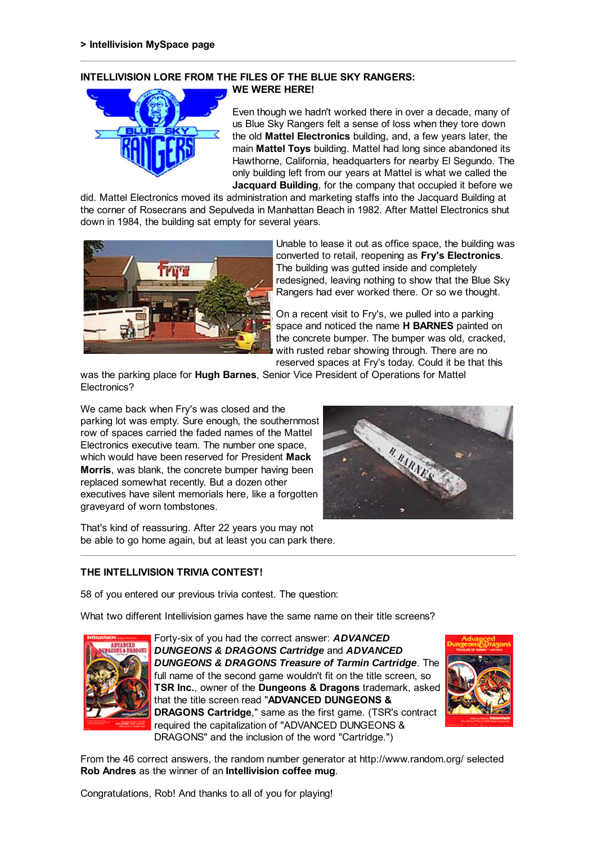#### **INTELLIVISION LORE FROM THE FILES OF THE BLUE SKY RANGERS: WE WERE HERE!**



Even though we hadn't worked there in over a decade, many of us Blue Sky Rangers felt a sense of loss when they tore down the old **Mattel Electronics** building, and, a few years later, the main **Mattel Toys** building. Mattel had long since abandoned its Hawthorne, California, headquarters for nearby El Segundo. The only building left from our years at Mattel is what we called the **Jacquard Building**, for the company that occupied it before we

did. Mattel Electronics moved its administration and marketing staffs into the Jacquard Building at the corner of Rosecrans and Sepulveda in Manhattan Beach in 1982. After Mattel Electronics shut down in 1984, the building sat empty for several years.



Unable to lease it out as office space, the building was converted to retail, reopening as **Fry's Electronics**. The building was gutted inside and completely redesigned, leaving nothing to show that the Blue Sky Rangers had ever worked there. Or so we thought.

On a recent visit to Fry's, we pulled into a parking space and noticed the name **H BARNES** painted on the concrete bumper. The bumper was old, cracked, with rusted rebar showing through. There are no reserved spaces at Fry's today. Could it be that this

was the parking place for **Hugh Barnes**, Senior Vice President of Operations for Mattel Electronics?

We came back when Fry's was closed and the parking lot was empty. Sure enough, the southernmost row of spaces carried the faded names of the Mattel Electronics executive team. The number one space, which would have been reserved for President **Mack Morris**, was blank, the concrete bumper having been replaced somewhat recently. But a dozen other executives have silent memorials here, like a forgotten graveyard of worn tombstones.



That's kind of reassuring. After 22 years you may not be able to go home again, but at least you can park there.

# **THE INTELLIVISION TRIVIA CONTEST!**

58 of you entered our previous trivia contest. The question:

What two different Intellivision games have the same name on their title screens?



Forty-six of you had the correct answer: *ADVANCED DUNGEONS & DRAGONS Cartridge* and *ADVANCED DUNGEONS & DRAGONS Treasure of Tarmin Cartridge*. The full name of the second game wouldn't fit on the title screen, so **TSR Inc.**, owner of the **Dungeons & Dragons** trademark, asked that the title screen read "**ADVANCED DUNGEONS & DRAGONS Cartridge**," same as the first game. (TSR's contract required the capitalization of "ADVANCED DUNGEONS & DRAGONS" and the inclusion of the word "Cartridge.")



From the 46 correct answers, the random number generator at http://www.random.org/ selected **Rob Andres** as the winner of an **Intellivision coffee mug**.

Congratulations, Rob! And thanks to all of you for playing!